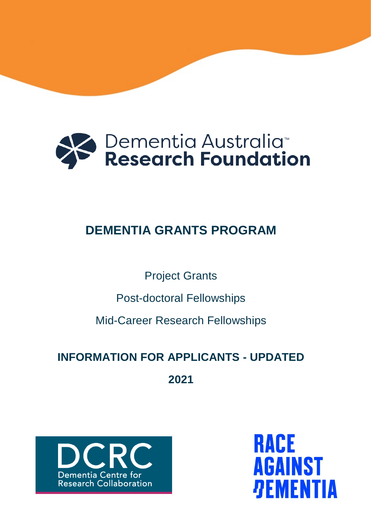

# **DEMENTIA GRANTS PROGRAM**

Project Grants

Post-doctoral Fellowships

Mid-Career Research Fellowships

# **INFORMATION FOR APPLICANTS - UPDATED**

**2021**



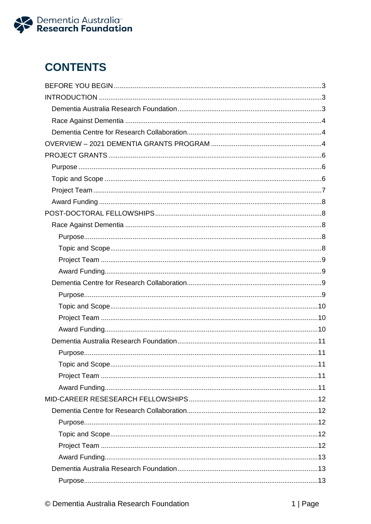

# **CONTENTS**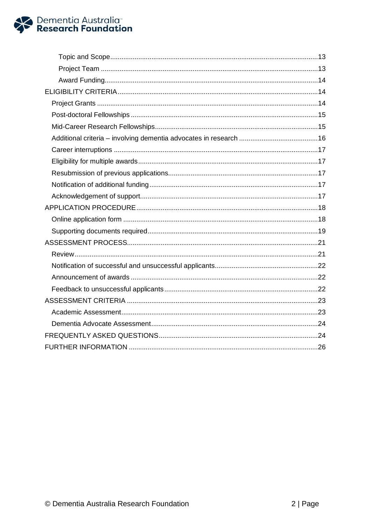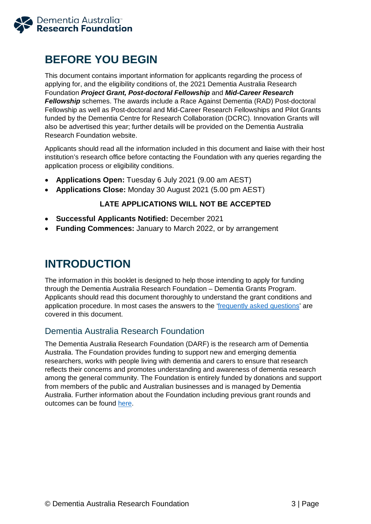

# <span id="page-3-0"></span>**BEFORE YOU BEGIN**

This document contains important information for applicants regarding the process of applying for, and the eligibility conditions of, the 2021 Dementia Australia Research Foundation *Project Grant, Post-doctoral Fellowship* and *Mid-Career Research Fellowship* schemes. The awards include a Race Against Dementia (RAD) Post-doctoral Fellowship as well as Post-doctoral and Mid-Career Research Fellowships and Pilot Grants funded by the Dementia Centre for Research Collaboration (DCRC). Innovation Grants will also be advertised this year; further details will be provided on the Dementia Australia Research Foundation website.

Applicants should read all the information included in this document and liaise with their host institution's research office before contacting the Foundation with any queries regarding the application process or eligibility conditions.

- **Applications Open:** Tuesday 6 July 2021 (9.00 am AEST)
- **Applications Close:** Monday 30 August 2021 (5.00 pm AEST)

### **LATE APPLICATIONS WILL NOT BE ACCEPTED**

- **Successful Applicants Notified:** December 2021
- **Funding Commences:** January to March 2022, or by arrangement

# <span id="page-3-1"></span>**INTRODUCTION**

The information in this booklet is designed to help those intending to apply for funding through the Dementia Australia Research Foundation – Dementia Grants Program. Applicants should read this document thoroughly to understand the grant conditions and application procedure. In most cases the answers to the ['frequently asked questions'](#page-24-2) are covered in this document.

# <span id="page-3-2"></span>Dementia Australia Research Foundation

The Dementia Australia Research Foundation (DARF) is the research arm of Dementia Australia. The Foundation provides funding to support new and emerging dementia researchers, works with people living with dementia and carers to ensure that research reflects their concerns and promotes understanding and awareness of dementia research among the general community. The Foundation is entirely funded by donations and support from members of the public and Australian businesses and is managed by Dementia Australia. Further information about the Foundation including previous grant rounds and outcomes can be found [here.](https://www.dementia.org.au/research)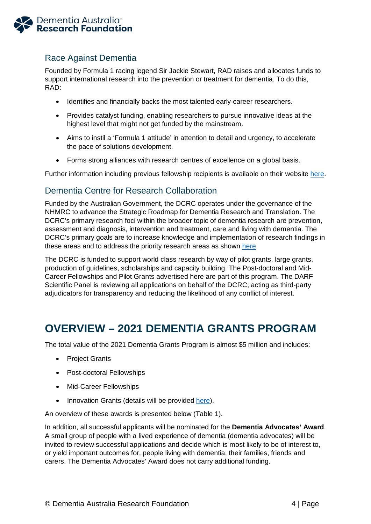

# <span id="page-4-0"></span>Race Against Dementia

Founded by Formula 1 racing legend Sir Jackie Stewart, RAD raises and allocates funds to support international research into the prevention or treatment for dementia. To do this, RAD:

- Identifies and financially backs the most talented early-career researchers.
- Provides catalyst funding, enabling researchers to pursue innovative ideas at the highest level that might not get funded by the mainstream.
- Aims to instil a 'Formula 1 attitude' in attention to detail and urgency, to accelerate the pace of solutions development.
- Forms strong alliances with research centres of excellence on a global basis.

Further information including previous fellowship recipients is available on their website [here.](https://www.raceagainstdementia.com/)

# <span id="page-4-1"></span>Dementia Centre for Research Collaboration

Funded by the Australian Government, the DCRC operates under the governance of the NHMRC to advance the Strategic Roadmap for Dementia Research and Translation. The DCRC's primary research foci within the broader topic of dementia research are prevention, assessment and diagnosis, intervention and treatment, care and living with dementia. The DCRC's primary goals are to increase knowledge and implementation of research findings in these areas and to address the priority research areas as shown [here.](http://www.dementiaresearch.org.au/)

The DCRC is funded to support world class research by way of pilot grants, large grants, production of guidelines, scholarships and capacity building. The Post-doctoral and Mid-Career Fellowships and Pilot Grants advertised here are part of this program. The DARF Scientific Panel is reviewing all applications on behalf of the DCRC, acting as third-party adjudicators for transparency and reducing the likelihood of any conflict of interest.

# <span id="page-4-2"></span>**OVERVIEW – 2021 DEMENTIA GRANTS PROGRAM**

The total value of the 2021 Dementia Grants Program is almost \$5 million and includes:

- Project Grants
- Post-doctoral Fellowships
- Mid-Career Fellowships
- Innovation Grants (details will be provided [here\)](https://www.dementia.org.au/research/grants).

An overview of these awards is presented below (Table 1).

In addition, all successful applicants will be nominated for the **Dementia Advocates' Award**. A small group of people with a lived experience of dementia (dementia advocates) will be invited to review successful applications and decide which is most likely to be of interest to, or yield important outcomes for, people living with dementia, their families, friends and carers. The Dementia Advocates' Award does not carry additional funding.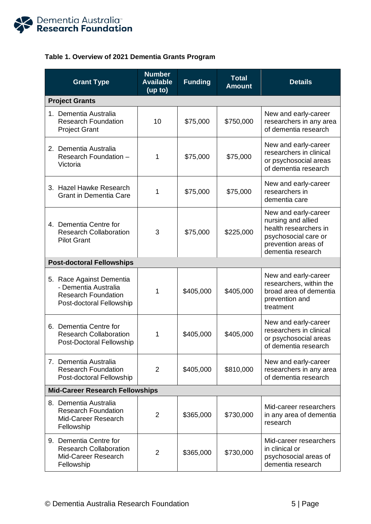

# **Table 1. Overview of 2021 Dementia Grants Program**

| <b>Grant Type</b>                                                                                          | <b>Number</b><br><b>Available</b><br>(up to) | <b>Funding</b> | <b>Total</b><br><b>Amount</b> | <b>Details</b>                                                                                                                          |  |  |
|------------------------------------------------------------------------------------------------------------|----------------------------------------------|----------------|-------------------------------|-----------------------------------------------------------------------------------------------------------------------------------------|--|--|
| <b>Project Grants</b>                                                                                      |                                              |                |                               |                                                                                                                                         |  |  |
| 1. Dementia Australia<br><b>Research Foundation</b><br><b>Project Grant</b>                                | 10                                           | \$75,000       | \$750,000                     | New and early-career<br>researchers in any area<br>of dementia research                                                                 |  |  |
| 2. Dementia Australia<br>Research Foundation -<br>Victoria                                                 | 1                                            | \$75,000       | \$75,000                      | New and early-career<br>researchers in clinical<br>or psychosocial areas<br>of dementia research                                        |  |  |
| 3. Hazel Hawke Research<br><b>Grant in Dementia Care</b>                                                   | 1                                            | \$75,000       | \$75,000                      | New and early-career<br>researchers in<br>dementia care                                                                                 |  |  |
| 4. Dementia Centre for<br><b>Research Collaboration</b><br><b>Pilot Grant</b>                              | 3                                            | \$75,000       | \$225,000                     | New and early-career<br>nursing and allied<br>health researchers in<br>psychosocial care or<br>prevention areas of<br>dementia research |  |  |
| <b>Post-doctoral Fellowships</b>                                                                           |                                              |                |                               |                                                                                                                                         |  |  |
| 5. Race Against Dementia<br>- Dementia Australia<br><b>Research Foundation</b><br>Post-doctoral Fellowship | 1                                            | \$405,000      | \$405,000                     | New and early-career<br>researchers, within the<br>broad area of dementia<br>prevention and<br>treatment                                |  |  |
| 6. Dementia Centre for<br><b>Research Collaboration</b><br>Post-Doctoral Fellowship                        | 1                                            | \$405,000      | \$405,000                     | New and early-career<br>researchers in clinical<br>or psychosocial areas<br>of dementia research                                        |  |  |
| 7. Dementia Australia<br><b>Research Foundation</b><br>Post-doctoral Fellowship                            | 2                                            | \$405,000      | \$810,000                     | New and early-career<br>researchers in any area<br>of dementia research                                                                 |  |  |
| <b>Mid-Career Research Fellowships</b>                                                                     |                                              |                |                               |                                                                                                                                         |  |  |
| 8. Dementia Australia<br><b>Research Foundation</b><br>Mid-Career Research<br>Fellowship                   | $\overline{2}$                               | \$365,000      | \$730,000                     | Mid-career researchers<br>in any area of dementia<br>research                                                                           |  |  |
| 9. Dementia Centre for<br><b>Research Collaboration</b><br>Mid-Career Research<br>Fellowship               | $\overline{2}$                               | \$365,000      | \$730,000                     | Mid-career researchers<br>in clinical or<br>psychosocial areas of<br>dementia research                                                  |  |  |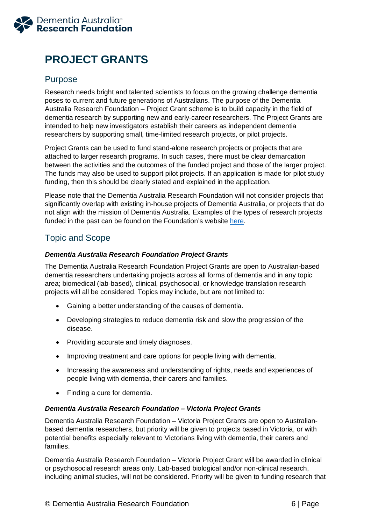

# <span id="page-6-0"></span>**PROJECT GRANTS**

# <span id="page-6-1"></span>Purpose

Research needs bright and talented scientists to focus on the growing challenge dementia poses to current and future generations of Australians. The purpose of the Dementia Australia Research Foundation – Project Grant scheme is to build capacity in the field of dementia research by supporting new and early-career researchers. The Project Grants are intended to help new investigators establish their careers as independent dementia researchers by supporting small, time-limited research projects, or pilot projects.

Project Grants can be used to fund stand-alone research projects or projects that are attached to larger research programs. In such cases, there must be clear demarcation between the activities and the outcomes of the funded project and those of the larger project. The funds may also be used to support pilot projects. If an application is made for pilot study funding, then this should be clearly stated and explained in the application.

Please note that the Dementia Australia Research Foundation will not consider projects that significantly overlap with existing in-house projects of Dementia Australia, or projects that do not align with the mission of Dementia Australia. Examples of the types of research projects funded in the past can be found on the Foundation's website [here.](https://www.dementia.org.au/research/foundation/our-researchers)

# <span id="page-6-2"></span>Topic and Scope

### *Dementia Australia Research Foundation Project Grants*

The Dementia Australia Research Foundation Project Grants are open to Australian-based dementia researchers undertaking projects across all forms of dementia and in any topic area; biomedical (lab-based), clinical, psychosocial, or knowledge translation research projects will all be considered. Topics may include, but are not limited to:

- Gaining a better understanding of the causes of dementia.
- Developing strategies to reduce dementia risk and slow the progression of the disease.
- Providing accurate and timely diagnoses.
- Improving treatment and care options for people living with dementia.
- Increasing the awareness and understanding of rights, needs and experiences of people living with dementia, their carers and families.
- Finding a cure for dementia.

### *Dementia Australia Research Foundation – Victoria Project Grants*

Dementia Australia Research Foundation – Victoria Project Grants are open to Australianbased dementia researchers, but priority will be given to projects based in Victoria, or with potential benefits especially relevant to Victorians living with dementia, their carers and families.

Dementia Australia Research Foundation – Victoria Project Grant will be awarded in clinical or psychosocial research areas only. Lab-based biological and/or non-clinical research, including animal studies, will not be considered. Priority will be given to funding research that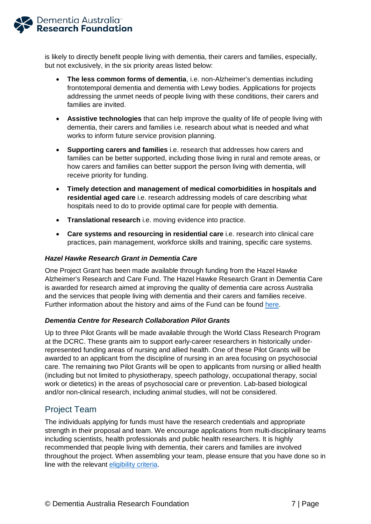

is likely to directly benefit people living with dementia, their carers and families, especially, but not exclusively, in the six priority areas listed below:

- **The less common forms of dementia**, i.e. non-Alzheimer's dementias including frontotemporal dementia and dementia with Lewy bodies. Applications for projects addressing the unmet needs of people living with these conditions, their carers and families are invited.
- **Assistive technologies** that can help improve the quality of life of people living with dementia, their carers and families i.e. research about what is needed and what works to inform future service provision planning.
- **Supporting carers and families** i.e. research that addresses how carers and families can be better supported, including those living in rural and remote areas, or how carers and families can better support the person living with dementia, will receive priority for funding.
- **Timely detection and management of medical comorbidities in hospitals and residential aged care** i.e. research addressing models of care describing what hospitals need to do to provide optimal care for people with dementia.
- **Translational research** i.e. moving evidence into practice.
- **Care systems and resourcing in residential care** i.e. research into clinical care practices, pain management, workforce skills and training, specific care systems.

### *Hazel Hawke Research Grant in Dementia Care*

One Project Grant has been made available through funding from the Hazel Hawke Alzheimer's Research and Care Fund. The Hazel Hawke Research Grant in Dementia Care is awarded for research aimed at improving the quality of dementia care across Australia and the services that people living with dementia and their carers and families receive. Further information about the history and aims of the Fund can be found [here.](https://www.dementia.org.au/research/hazel-hawke-alzheimers-research-and-care-fund)

### *Dementia Centre for Research Collaboration Pilot Grants*

Up to three Pilot Grants will be made available through the World Class Research Program at the DCRC. These grants aim to support early-career researchers in historically underrepresented funding areas of nursing and allied health. One of these Pilot Grants will be awarded to an applicant from the discipline of nursing in an area focusing on psychosocial care. The remaining two Pilot Grants will be open to applicants from nursing or allied health (including but not limited to physiotherapy, speech pathology, occupational therapy, social work or dietetics) in the areas of psychosocial care or prevention. Lab-based biological and/or non-clinical research, including animal studies, will not be considered.

# <span id="page-7-0"></span>Project Team

The individuals applying for funds must have the research credentials and appropriate strength in their proposal and team. We encourage applications from multi-disciplinary teams including scientists, health professionals and public health researchers. It is highly recommended that people living with dementia, their carers and families are involved throughout the project. When assembling your team, please ensure that you have done so in line with the relevant [eligibility criteria.](#page-14-3)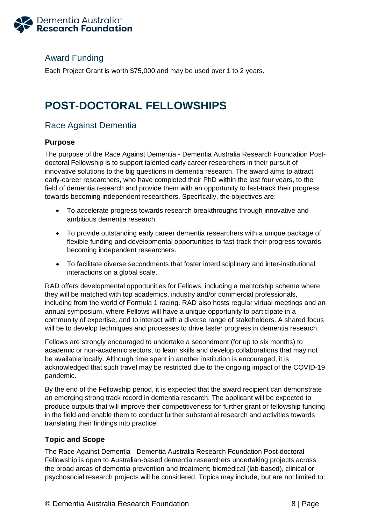

# <span id="page-8-0"></span>Award Funding

Each Project Grant is worth \$75,000 and may be used over 1 to 2 years.

# <span id="page-8-1"></span>**POST-DOCTORAL FELLOWSHIPS**

# <span id="page-8-2"></span>Race Against Dementia

### <span id="page-8-3"></span>**Purpose**

The purpose of the Race Against Dementia - Dementia Australia Research Foundation Postdoctoral Fellowship is to support talented early career researchers in their pursuit of innovative solutions to the big questions in dementia research. The award aims to attract early-career researchers, who have completed their PhD within the last four years, to the field of dementia research and provide them with an opportunity to fast-track their progress towards becoming independent researchers. Specifically, the objectives are:

- To accelerate progress towards research breakthroughs through innovative and ambitious dementia research.
- To provide outstanding early career dementia researchers with a unique package of flexible funding and developmental opportunities to fast-track their progress towards becoming independent researchers.
- To facilitate diverse secondments that foster interdisciplinary and inter-institutional interactions on a global scale.

RAD offers developmental opportunities for Fellows, including a mentorship scheme where they will be matched with top academics, industry and/or commercial professionals, including from the world of Formula 1 racing. RAD also hosts regular virtual meetings and an annual symposium, where Fellows will have a unique opportunity to participate in a community of expertise, and to interact with a diverse range of stakeholders. A shared focus will be to develop techniques and processes to drive faster progress in dementia research.

Fellows are strongly encouraged to undertake a secondment (for up to six months) to academic or non-academic sectors, to learn skills and develop collaborations that may not be available locally. Although time spent in another institution is encouraged, it is acknowledged that such travel may be restricted due to the ongoing impact of the COVID-19 pandemic.

By the end of the Fellowship period, it is expected that the award recipient can demonstrate an emerging strong track record in dementia research. The applicant will be expected to produce outputs that will improve their competitiveness for further grant or fellowship funding in the field and enable them to conduct further substantial research and activities towards translating their findings into practice.

### <span id="page-8-4"></span>**Topic and Scope**

The Race Against Dementia - Dementia Australia Research Foundation Post-doctoral Fellowship is open to Australian-based dementia researchers undertaking projects across the broad areas of dementia prevention and treatment; biomedical (lab-based), clinical or psychosocial research projects will be considered. Topics may include, but are not limited to: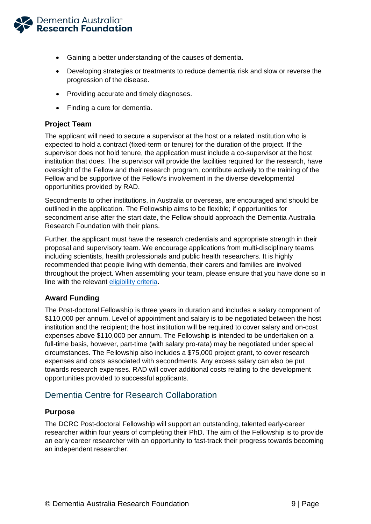

- Gaining a better understanding of the causes of dementia.
- Developing strategies or treatments to reduce dementia risk and slow or reverse the progression of the disease.
- Providing accurate and timely diagnoses.
- Finding a cure for dementia.

### <span id="page-9-0"></span>**Project Team**

The applicant will need to secure a supervisor at the host or a related institution who is expected to hold a contract (fixed-term or tenure) for the duration of the project. If the supervisor does not hold tenure, the application must include a co-supervisor at the host institution that does. The supervisor will provide the facilities required for the research, have oversight of the Fellow and their research program, contribute actively to the training of the Fellow and be supportive of the Fellow's involvement in the diverse developmental opportunities provided by RAD.

Secondments to other institutions, in Australia or overseas, are encouraged and should be outlined in the application. The Fellowship aims to be flexible; if opportunities for secondment arise after the start date, the Fellow should approach the Dementia Australia Research Foundation with their plans.

Further, the applicant must have the research credentials and appropriate strength in their proposal and supervisory team. We encourage applications from multi-disciplinary teams including scientists, health professionals and public health researchers. It is highly recommended that people living with dementia, their carers and families are involved throughout the project. When assembling your team, please ensure that you have done so in line with the relevant [eligibility criteria](#page-15-2).

### <span id="page-9-1"></span>**Award Funding**

The Post-doctoral Fellowship is three years in duration and includes a salary component of \$110,000 per annum. Level of appointment and salary is to be negotiated between the host institution and the recipient; the host institution will be required to cover salary and on-cost expenses above \$110,000 per annum. The Fellowship is intended to be undertaken on a full-time basis, however, part-time (with salary pro-rata) may be negotiated under special circumstances. The Fellowship also includes a \$75,000 project grant, to cover research expenses and costs associated with secondments. Any excess salary can also be put towards research expenses. RAD will cover additional costs relating to the development opportunities provided to successful applicants.

### <span id="page-9-2"></span>Dementia Centre for Research Collaboration

### <span id="page-9-3"></span>**Purpose**

The DCRC Post-doctoral Fellowship will support an outstanding, talented early-career researcher within four years of completing their PhD. The aim of the Fellowship is to provide an early career researcher with an opportunity to fast-track their progress towards becoming an independent researcher.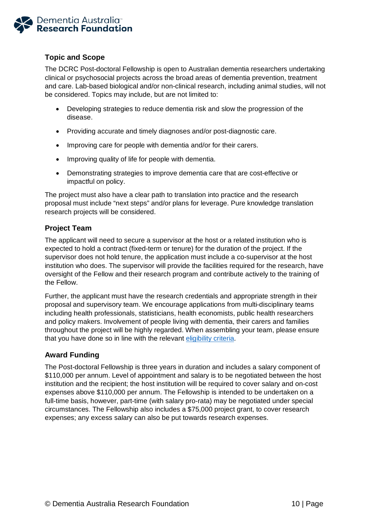

### <span id="page-10-0"></span>**Topic and Scope**

The DCRC Post-doctoral Fellowship is open to Australian dementia researchers undertaking clinical or psychosocial projects across the broad areas of dementia prevention, treatment and care. Lab-based biological and/or non-clinical research, including animal studies, will not be considered. Topics may include, but are not limited to:

- Developing strategies to reduce dementia risk and slow the progression of the disease.
- Providing accurate and timely diagnoses and/or post-diagnostic care.
- Improving care for people with dementia and/or for their carers.
- Improving quality of life for people with dementia.
- Demonstrating strategies to improve dementia care that are cost-effective or impactful on policy.

The project must also have a clear path to translation into practice and the research proposal must include "next steps" and/or plans for leverage. Pure knowledge translation research projects will be considered.

### <span id="page-10-1"></span>**Project Team**

The applicant will need to secure a supervisor at the host or a related institution who is expected to hold a contract (fixed-term or tenure) for the duration of the project. If the supervisor does not hold tenure, the application must include a co-supervisor at the host institution who does. The supervisor will provide the facilities required for the research, have oversight of the Fellow and their research program and contribute actively to the training of the Fellow.

Further, the applicant must have the research credentials and appropriate strength in their proposal and supervisory team. We encourage applications from multi-disciplinary teams including health professionals, statisticians, health economists, public health researchers and policy makers. Involvement of people living with dementia, their carers and families throughout the project will be highly regarded. When assembling your team, please ensure that you have done so in line with the relevant [eligibility criteria.](#page-15-2)

### <span id="page-10-2"></span>**Award Funding**

<span id="page-10-3"></span>The Post-doctoral Fellowship is three years in duration and includes a salary component of \$110,000 per annum. Level of appointment and salary is to be negotiated between the host institution and the recipient; the host institution will be required to cover salary and on-cost expenses above \$110,000 per annum. The Fellowship is intended to be undertaken on a full-time basis, however, part-time (with salary pro-rata) may be negotiated under special circumstances. The Fellowship also includes a \$75,000 project grant, to cover research expenses; any excess salary can also be put towards research expenses.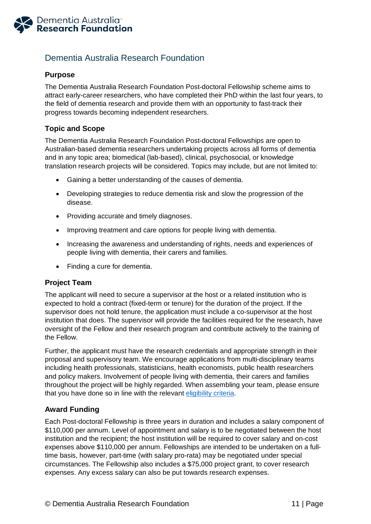

# Dementia Australia Research Foundation

### <span id="page-11-0"></span>**Purpose**

The Dementia Australia Research Foundation Post-doctoral Fellowship scheme aims to attract early-career researchers, who have completed their PhD within the last four years, to the field of dementia research and provide them with an opportunity to fast-track their progress towards becoming independent researchers.

### <span id="page-11-1"></span>**Topic and Scope**

The Dementia Australia Research Foundation Post-doctoral Fellowships are open to Australian-based dementia researchers undertaking projects across all forms of dementia and in any topic area; biomedical (lab-based), clinical, psychosocial, or knowledge translation research projects will be considered. Topics may include, but are not limited to:

- Gaining a better understanding of the causes of dementia.
- Developing strategies to reduce dementia risk and slow the progression of the disease.
- Providing accurate and timely diagnoses.
- Improving treatment and care options for people living with dementia.
- Increasing the awareness and understanding of rights, needs and experiences of people living with dementia, their carers and families.
- Finding a cure for dementia.

### <span id="page-11-2"></span>**Project Team**

The applicant will need to secure a supervisor at the host or a related institution who is expected to hold a contract (fixed-term or tenure) for the duration of the project. If the supervisor does not hold tenure, the application must include a co-supervisor at the host institution that does. The supervisor will provide the facilities required for the research, have oversight of the Fellow and their research program and contribute actively to the training of the Fellow.

Further, the applicant must have the research credentials and appropriate strength in their proposal and supervisory team. We encourage applications from multi-disciplinary teams including health professionals, statisticians, health economists, public health researchers and policy makers. Involvement of people living with dementia, their carers and families throughout the project will be highly regarded. When assembling your team, please ensure that you have done so in line with the relevant [eligibility criteria.](#page-15-2)

### <span id="page-11-3"></span>**Award Funding**

Each Post-doctoral Fellowship is three years in duration and includes a salary component of \$110,000 per annum. Level of appointment and salary is to be negotiated between the host institution and the recipient; the host institution will be required to cover salary and on-cost expenses above \$110,000 per annum. Fellowships are intended to be undertaken on a fulltime basis, however, part-time (with salary pro-rata) may be negotiated under special circumstances. The Fellowship also includes a \$75,000 project grant, to cover research expenses. Any excess salary can also be put towards research expenses.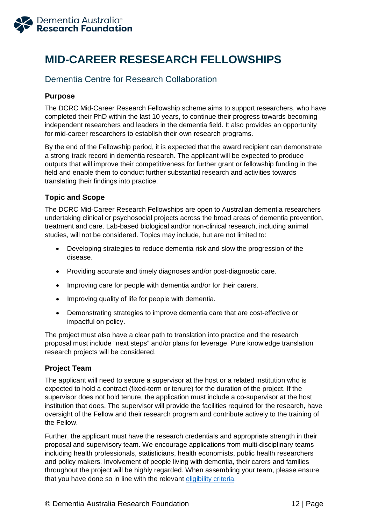

# <span id="page-12-0"></span>**MID-CAREER RESESEARCH FELLOWSHIPS**

# <span id="page-12-1"></span>Dementia Centre for Research Collaboration

### <span id="page-12-2"></span>**Purpose**

The DCRC Mid-Career Research Fellowship scheme aims to support researchers, who have completed their PhD within the last 10 years, to continue their progress towards becoming independent researchers and leaders in the dementia field. It also provides an opportunity for mid-career researchers to establish their own research programs.

By the end of the Fellowship period, it is expected that the award recipient can demonstrate a strong track record in dementia research. The applicant will be expected to produce outputs that will improve their competitiveness for further grant or fellowship funding in the field and enable them to conduct further substantial research and activities towards translating their findings into practice.

### <span id="page-12-3"></span>**Topic and Scope**

The DCRC Mid-Career Research Fellowships are open to Australian dementia researchers undertaking clinical or psychosocial projects across the broad areas of dementia prevention, treatment and care. Lab-based biological and/or non-clinical research, including animal studies, will not be considered. Topics may include, but are not limited to:

- Developing strategies to reduce dementia risk and slow the progression of the disease.
- Providing accurate and timely diagnoses and/or post-diagnostic care.
- Improving care for people with dementia and/or for their carers.
- Improving quality of life for people with dementia.
- Demonstrating strategies to improve dementia care that are cost-effective or impactful on policy.

The project must also have a clear path to translation into practice and the research proposal must include "next steps" and/or plans for leverage. Pure knowledge translation research projects will be considered.

### <span id="page-12-4"></span>**Project Team**

The applicant will need to secure a supervisor at the host or a related institution who is expected to hold a contract (fixed-term or tenure) for the duration of the project. If the supervisor does not hold tenure, the application must include a co-supervisor at the host institution that does. The supervisor will provide the facilities required for the research, have oversight of the Fellow and their research program and contribute actively to the training of the Fellow.

Further, the applicant must have the research credentials and appropriate strength in their proposal and supervisory team. We encourage applications from multi-disciplinary teams including health professionals, statisticians, health economists, public health researchers and policy makers. Involvement of people living with dementia, their carers and families throughout the project will be highly regarded. When assembling your team, please ensure that you have done so in line with the relevant [eligibility criteria.](#page-15-2)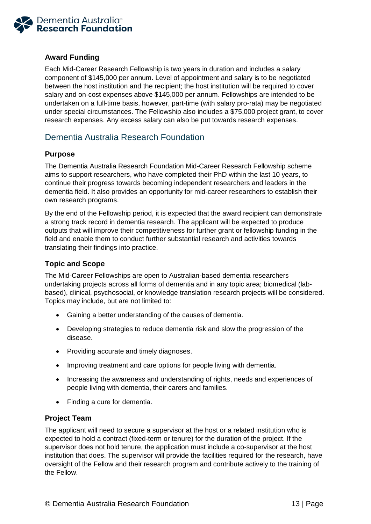

### <span id="page-13-0"></span>**Award Funding**

Each Mid-Career Research Fellowship is two years in duration and includes a salary component of \$145,000 per annum. Level of appointment and salary is to be negotiated between the host institution and the recipient; the host institution will be required to cover salary and on-cost expenses above \$145,000 per annum. Fellowships are intended to be undertaken on a full-time basis, however, part-time (with salary pro-rata) may be negotiated under special circumstances. The Fellowship also includes a \$75,000 project grant, to cover research expenses. Any excess salary can also be put towards research expenses.

# <span id="page-13-1"></span>Dementia Australia Research Foundation

### <span id="page-13-2"></span>**Purpose**

The Dementia Australia Research Foundation Mid-Career Research Fellowship scheme aims to support researchers, who have completed their PhD within the last 10 years, to continue their progress towards becoming independent researchers and leaders in the dementia field. It also provides an opportunity for mid-career researchers to establish their own research programs.

By the end of the Fellowship period, it is expected that the award recipient can demonstrate a strong track record in dementia research. The applicant will be expected to produce outputs that will improve their competitiveness for further grant or fellowship funding in the field and enable them to conduct further substantial research and activities towards translating their findings into practice.

### <span id="page-13-3"></span>**Topic and Scope**

The Mid-Career Fellowships are open to Australian-based dementia researchers undertaking projects across all forms of dementia and in any topic area; biomedical (labbased), clinical, psychosocial, or knowledge translation research projects will be considered. Topics may include, but are not limited to:

- Gaining a better understanding of the causes of dementia.
- Developing strategies to reduce dementia risk and slow the progression of the disease.
- Providing accurate and timely diagnoses.
- Improving treatment and care options for people living with dementia.
- Increasing the awareness and understanding of rights, needs and experiences of people living with dementia, their carers and families.
- Finding a cure for dementia.

### <span id="page-13-4"></span>**Project Team**

The applicant will need to secure a supervisor at the host or a related institution who is expected to hold a contract (fixed-term or tenure) for the duration of the project. If the supervisor does not hold tenure, the application must include a co-supervisor at the host institution that does. The supervisor will provide the facilities required for the research, have oversight of the Fellow and their research program and contribute actively to the training of the Fellow.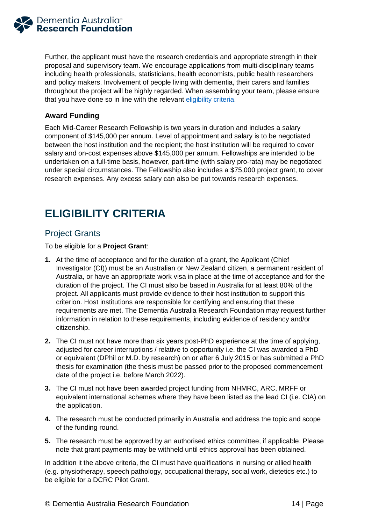<span id="page-14-3"></span>

Further, the applicant must have the research credentials and appropriate strength in their proposal and supervisory team. We encourage applications from multi-disciplinary teams including health professionals, statisticians, health economists, public health researchers and policy makers. Involvement of people living with dementia, their carers and families throughout the project will be highly regarded. When assembling your team, please ensure that you have done so in line with the relevant [eligibility criteria.](#page-15-2)

### <span id="page-14-0"></span>**Award Funding**

Each Mid-Career Research Fellowship is two years in duration and includes a salary component of \$145,000 per annum. Level of appointment and salary is to be negotiated between the host institution and the recipient; the host institution will be required to cover salary and on-cost expenses above \$145,000 per annum. Fellowships are intended to be undertaken on a full-time basis, however, part-time (with salary pro-rata) may be negotiated under special circumstances. The Fellowship also includes a \$75,000 project grant, to cover research expenses. Any excess salary can also be put towards research expenses.

# <span id="page-14-1"></span>**ELIGIBILITY CRITERIA**

### <span id="page-14-2"></span>Project Grants

To be eligible for a **Project Grant**:

- **1.** At the time of acceptance and for the duration of a grant, the Applicant (Chief Investigator (CI)) must be an Australian or New Zealand citizen, a permanent resident of Australia, or have an appropriate work visa in place at the time of acceptance and for the duration of the project. The CI must also be based in Australia for at least 80% of the project. All applicants must provide evidence to their host institution to support this criterion. Host institutions are responsible for certifying and ensuring that these requirements are met. The Dementia Australia Research Foundation may request further information in relation to these requirements, including evidence of residency and/or citizenship.
- **2.** The CI must not have more than six years post-PhD experience at the time of applying, adjusted for career interruptions / relative to opportunity i.e. the CI was awarded a PhD or equivalent (DPhil or M.D. by research) on or after 6 July 2015 or has submitted a PhD thesis for examination (the thesis must be passed prior to the proposed commencement date of the project i.e. before March 2022).
- **3.** The CI must not have been awarded project funding from NHMRC, ARC, MRFF or equivalent international schemes where they have been listed as the lead CI (i.e. CIA) on the application.
- **4.** The research must be conducted primarily in Australia and address the topic and scope of the funding round.
- **5.** The research must be approved by an authorised ethics committee, if applicable. Please note that grant payments may be withheld until ethics approval has been obtained.

In addition it the above criteria, the CI must have qualifications in nursing or allied health (e.g. physiotherapy, speech pathology, occupational therapy, social work, dietetics etc.) to be eligible for a DCRC Pilot Grant.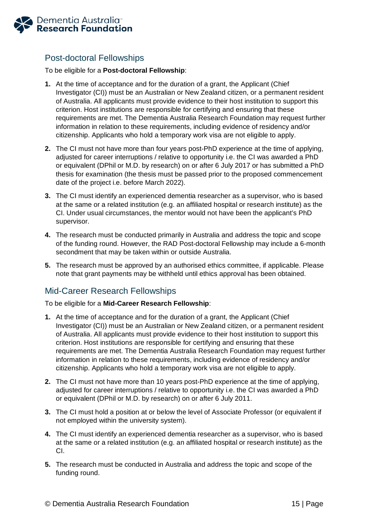<span id="page-15-2"></span>

# <span id="page-15-0"></span>Post-doctoral Fellowships

To be eligible for a **Post-doctoral Fellowship**:

- **1.** At the time of acceptance and for the duration of a grant, the Applicant (Chief Investigator (CI)) must be an Australian or New Zealand citizen, or a permanent resident of Australia. All applicants must provide evidence to their host institution to support this criterion. Host institutions are responsible for certifying and ensuring that these requirements are met. The Dementia Australia Research Foundation may request further information in relation to these requirements, including evidence of residency and/or citizenship. Applicants who hold a temporary work visa are not eligible to apply.
- **2.** The CI must not have more than four years post-PhD experience at the time of applying, adjusted for career interruptions / relative to opportunity i.e. the CI was awarded a PhD or equivalent (DPhil or M.D. by research) on or after 6 July 2017 or has submitted a PhD thesis for examination (the thesis must be passed prior to the proposed commencement date of the project i.e. before March 2022).
- **3.** The CI must identify an experienced dementia researcher as a supervisor, who is based at the same or a related institution (e.g. an affiliated hospital or research institute) as the CI. Under usual circumstances, the mentor would not have been the applicant's PhD supervisor.
- **4.** The research must be conducted primarily in Australia and address the topic and scope of the funding round. However, the RAD Post-doctoral Fellowship may include a 6-month secondment that may be taken within or outside Australia.
- **5.** The research must be approved by an authorised ethics committee, if applicable. Please note that grant payments may be withheld until ethics approval has been obtained.

# <span id="page-15-1"></span>Mid-Career Research Fellowships

To be eligible for a **Mid-Career Research Fellowship**:

- **1.** At the time of acceptance and for the duration of a grant, the Applicant (Chief Investigator (CI)) must be an Australian or New Zealand citizen, or a permanent resident of Australia. All applicants must provide evidence to their host institution to support this criterion. Host institutions are responsible for certifying and ensuring that these requirements are met. The Dementia Australia Research Foundation may request further information in relation to these requirements, including evidence of residency and/or citizenship. Applicants who hold a temporary work visa are not eligible to apply.
- **2.** The CI must not have more than 10 years post-PhD experience at the time of applying, adjusted for career interruptions / relative to opportunity i.e. the CI was awarded a PhD or equivalent (DPhil or M.D. by research) on or after 6 July 2011.
- **3.** The CI must hold a position at or below the level of Associate Professor (or equivalent if not employed within the university system).
- **4.** The CI must identify an experienced dementia researcher as a supervisor, who is based at the same or a related institution (e.g. an affiliated hospital or research institute) as the CI.
- **5.** The research must be conducted in Australia and address the topic and scope of the funding round.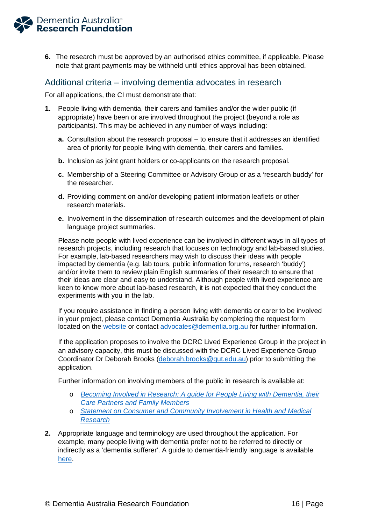<span id="page-16-1"></span>

**6.** The research must be approved by an authorised ethics committee, if applicable. Please note that grant payments may be withheld until ethics approval has been obtained.

### <span id="page-16-0"></span>Additional criteria – involving dementia advocates in research

For all applications, the CI must demonstrate that:

- **1.** People living with dementia, their carers and families and/or the wider public (if appropriate) have been or are involved throughout the project (beyond a role as participants). This may be achieved in any number of ways including:
	- **a.** Consultation about the research proposal to ensure that it addresses an identified area of priority for people living with dementia, their carers and families.
	- **b.** Inclusion as joint grant holders or co-applicants on the research proposal.
	- **c.** Membership of a Steering Committee or Advisory Group or as a 'research buddy' for the researcher.
	- **d.** Providing comment on and/or developing patient information leaflets or other research materials.
	- **e.** Involvement in the dissemination of research outcomes and the development of plain language project summaries.

Please note people with lived experience can be involved in different ways in all types of research projects, including research that focuses on technology and lab-based studies. For example, lab-based researchers may wish to discuss their ideas with people impacted by dementia (e.g. lab tours, public information forums, research 'buddy') and/or invite them to review plain English summaries of their research to ensure that their ideas are clear and easy to understand. Although people with lived experience are keen to know more about lab-based research, it is not expected that they conduct the experiments with you in the lab.

If you require assistance in finding a person living with dementia or carer to be involved in your project, please contact Dementia Australia by completing the request form located on the [website](https://www.dementia.org.au/about-us/dementia-advocates-program/request-work-dementia-advocate) or contact [advocates@dementia.org.au](mailto:advocates@dementia.org.au) for further information.

If the application proposes to involve the DCRC Lived Experience Group in the project in an advisory capacity, this must be discussed with the DCRC Lived Experience Group Coordinator Dr Deborah Brooks [\(deborah.brooks@qut.edu.au\)](mailto:deborah.brooks@qut.edu.au) prior to submitting the application.

Further information on involving members of the public in research is available at:

- o *[Becoming Involved in Research: A guide for People Living with Dementia, their](https://www.nhmrc.gov.au/research-policy/research-priorities/dementia/nnidr)  [Care Partners and Family Members](https://www.nhmrc.gov.au/research-policy/research-priorities/dementia/nnidr)*
- o *[Statement on Consumer and Community Involvement in Health and Medical](https://www.nhmrc.gov.au/about-us/publications/statement-consumer-and-community-involvement-health-and-medical-research)  [Research](https://www.nhmrc.gov.au/about-us/publications/statement-consumer-and-community-involvement-health-and-medical-research)*
- **2.** Appropriate language and terminology are used throughout the application. For example, many people living with dementia prefer not to be referred to directly or indirectly as a 'dementia sufferer'. A guide to dementia-friendly language is available [here.](https://www.dementia.org.au/resources/dementia-language-guidelines)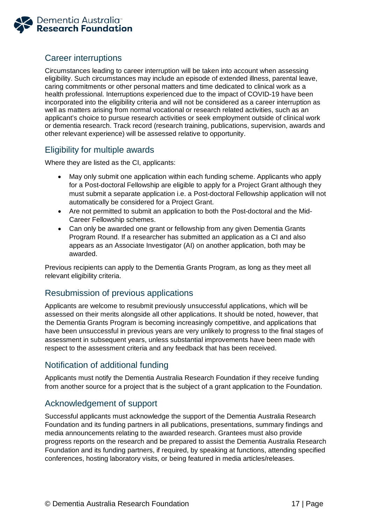

# <span id="page-17-0"></span>Career interruptions

Circumstances leading to career interruption will be taken into account when assessing eligibility. Such circumstances may include an episode of extended illness, parental leave, caring commitments or other personal matters and time dedicated to clinical work as a health professional. Interruptions experienced due to the impact of COVID-19 have been incorporated into the eligibility criteria and will not be considered as a career interruption as well as matters arising from normal vocational or research related activities, such as an applicant's choice to pursue research activities or seek employment outside of clinical work or dementia research. Track record (research training, publications, supervision, awards and other relevant experience) will be assessed relative to opportunity.

### <span id="page-17-1"></span>Eligibility for multiple awards

Where they are listed as the CI, applicants:

- May only submit one application within each funding scheme. Applicants who apply for a Post-doctoral Fellowship are eligible to apply for a Project Grant although they must submit a separate application i.e. a Post-doctoral Fellowship application will not automatically be considered for a Project Grant.
- Are not permitted to submit an application to both the Post-doctoral and the Mid-Career Fellowship schemes.
- Can only be awarded one grant or fellowship from any given Dementia Grants Program Round. If a researcher has submitted an application as a CI and also appears as an Associate Investigator (AI) on another application, both may be awarded.

Previous recipients can apply to the Dementia Grants Program, as long as they meet all relevant eligibility criteria.

### <span id="page-17-2"></span>Resubmission of previous applications

Applicants are welcome to resubmit previously unsuccessful applications, which will be assessed on their merits alongside all other applications. It should be noted, however, that the Dementia Grants Program is becoming increasingly competitive, and applications that have been unsuccessful in previous years are very unlikely to progress to the final stages of assessment in subsequent years, unless substantial improvements have been made with respect to the assessment criteria and any feedback that has been received.

# <span id="page-17-3"></span>Notification of additional funding

Applicants must notify the Dementia Australia Research Foundation if they receive funding from another source for a project that is the subject of a grant application to the Foundation.

# <span id="page-17-4"></span>Acknowledgement of support

Successful applicants must acknowledge the support of the Dementia Australia Research Foundation and its funding partners in all publications, presentations, summary findings and media announcements relating to the awarded research. Grantees must also provide progress reports on the research and be prepared to assist the Dementia Australia Research Foundation and its funding partners, if required, by speaking at functions, attending specified conferences, hosting laboratory visits, or being featured in media articles/releases.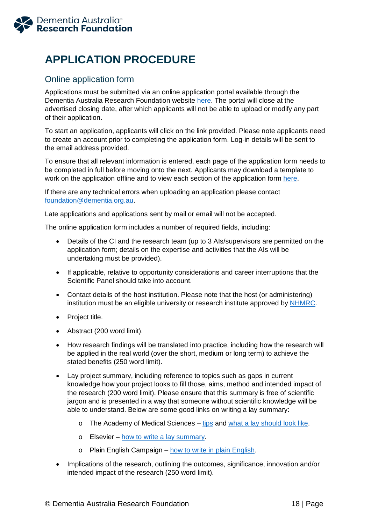

# <span id="page-18-0"></span>**APPLICATION PROCEDURE**

# <span id="page-18-1"></span>Online application form

Applications must be submitted via an online application portal available through the Dementia Australia Research Foundation website [here.](https://www.dementia.org.au/research/grants) The portal will close at the advertised closing date, after which applicants will not be able to upload or modify any part of their application.

To start an application, applicants will click on the link provided. Please note applicants need to create an account prior to completing the application form. Log-in details will be sent to the email address provided.

To ensure that all relevant information is entered, each page of the application form needs to be completed in full before moving onto the next. Applicants may download a template to work on the application offline and to view each section of the application form [here.](https://www.dementia.org.au/research/grants/information-for-applicants)

If there are any technical errors when uploading an application please contact [foundation@dementia.org.au.](mailto:foundation@dementia.org.au)

Late applications and applications sent by mail or email will not be accepted.

The online application form includes a number of required fields, including:

- Details of the CI and the research team (up to 3 AIs/supervisors are permitted on the application form; details on the expertise and activities that the AIs will be undertaking must be provided).
- If applicable, relative to opportunity considerations and career interruptions that the Scientific Panel should take into account.
- Contact details of the host institution. Please note that the host (or administering) institution must be an eligible university or research institute approved by [NHMRC.](https://www.nhmrc.gov.au/funding/manage-your-funding/nhmrcs-administering-institutions)
- Project title.
- Abstract (200 word limit).
- How research findings will be translated into practice, including how the research will be applied in the real world (over the short, medium or long term) to achieve the stated benefits (250 word limit).
- Lay project summary, including reference to topics such as gaps in current knowledge how your project looks to fill those, aims, method and intended impact of the research (200 word limit). Please ensure that this summary is free of scientific jargon and is presented in a way that someone without scientific knowledge will be able to understand. Below are some good links on writing a lay summary:
	- o The Academy of Medical Sciences [tips](https://acmedsci.ac.uk/more/news/10-tips-for-writing-a-lay-summary) and [what a lay should look like.](https://acmedsci.ac.uk/more/news/what-does-a-great-lay-summary-look-like)
	- o Elsevier [how to write a lay summary.](https://www.elsevier.com/connect/authors-update/in-a-nutshell-how-to-write-a-lay-summary#contributors)
	- o Plain English Campaign [how to write in plain English.](http://www.plainenglish.co.uk/files/howto.pdf)
- Implications of the research, outlining the outcomes, significance, innovation and/or intended impact of the research (250 word limit).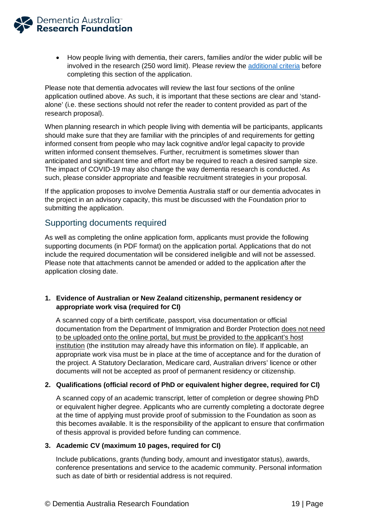

• How people living with dementia, their carers, families and/or the wider public will be involved in the research (250 word limit). Please review the [additional criteria](#page-16-1) before completing this section of the application.

Please note that dementia advocates will review the last four sections of the online application outlined above. As such, it is important that these sections are clear and 'standalone' (i.e. these sections should not refer the reader to content provided as part of the research proposal).

When planning research in which people living with dementia will be participants, applicants should make sure that they are familiar with the principles of and requirements for getting informed consent from people who may lack cognitive and/or legal capacity to provide written informed consent themselves. Further, recruitment is sometimes slower than anticipated and significant time and effort may be required to reach a desired sample size. The impact of COVID-19 may also change the way dementia research is conducted. As such, please consider appropriate and feasible recruitment strategies in your proposal.

If the application proposes to involve Dementia Australia staff or our dementia advocates in the project in an advisory capacity, this must be discussed with the Foundation prior to submitting the application.

### <span id="page-19-0"></span>Supporting documents required

As well as completing the online application form, applicants must provide the following supporting documents (in PDF format) on the application portal. Applications that do not include the required documentation will be considered ineligible and will not be assessed. Please note that attachments cannot be amended or added to the application after the application closing date.

### **1. Evidence of Australian or New Zealand citizenship, permanent residency or appropriate work visa (required for CI)**

A scanned copy of a birth certificate, passport, visa documentation or official documentation from the Department of Immigration and Border Protection does not need to be uploaded onto the online portal, but must be provided to the applicant's host institution (the institution may already have this information on file). If applicable, an appropriate work visa must be in place at the time of acceptance and for the duration of the project. A Statutory Declaration, Medicare card, Australian drivers' licence or other documents will not be accepted as proof of permanent residency or citizenship.

### **2. Qualifications (official record of PhD or equivalent higher degree, required for CI)**

A scanned copy of an academic transcript, letter of completion or degree showing PhD or equivalent higher degree. Applicants who are currently completing a doctorate degree at the time of applying must provide proof of submission to the Foundation as soon as this becomes available. It is the responsibility of the applicant to ensure that confirmation of thesis approval is provided before funding can commence.

### **3. Academic CV (maximum 10 pages, required for CI)**

Include publications, grants (funding body, amount and investigator status), awards, conference presentations and service to the academic community. Personal information such as date of birth or residential address is not required.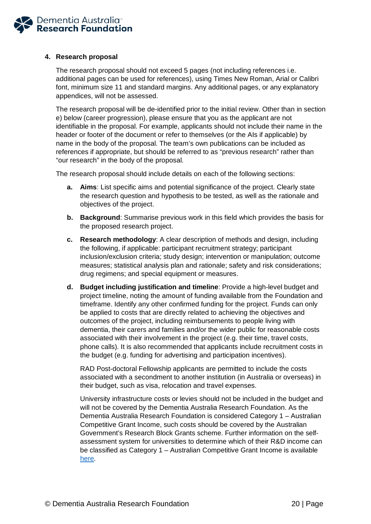

### **4. Research proposal**

The research proposal should not exceed 5 pages (not including references i.e. additional pages can be used for references), using Times New Roman, Arial or Calibri font, minimum size 11 and standard margins. Any additional pages, or any explanatory appendices, will not be assessed.

The research proposal will be de-identified prior to the initial review. Other than in section e) below (career progression), please ensure that you as the applicant are not identifiable in the proposal. For example, applicants should not include their name in the header or footer of the document or refer to themselves (or the AIs if applicable) by name in the body of the proposal. The team's own publications can be included as references if appropriate, but should be referred to as "previous research" rather than "our research" in the body of the proposal.

The research proposal should include details on each of the following sections:

- **a. Aims**: List specific aims and potential significance of the project. Clearly state the research question and hypothesis to be tested, as well as the rationale and objectives of the project.
- **b. Background**: Summarise previous work in this field which provides the basis for the proposed research project.
- **c. Research methodology**: A clear description of methods and design, including the following, if applicable: participant recruitment strategy; participant inclusion/exclusion criteria; study design; intervention or manipulation; outcome measures; statistical analysis plan and rationale; safety and risk considerations; drug regimens; and special equipment or measures.
- **d. Budget including justification and timeline**: Provide a high-level budget and project timeline, noting the amount of funding available from the Foundation and timeframe. Identify any other confirmed funding for the project. Funds can only be applied to costs that are directly related to achieving the objectives and outcomes of the project, including reimbursements to people living with dementia, their carers and families and/or the wider public for reasonable costs associated with their involvement in the project (e.g. their time, travel costs, phone calls). It is also recommended that applicants include recruitment costs in the budget (e.g. funding for advertising and participation incentives).

RAD Post-doctoral Fellowship applicants are permitted to include the costs associated with a secondment to another institution (in Australia or overseas) in their budget, such as visa, relocation and travel expenses.

University infrastructure costs or levies should not be included in the budget and will not be covered by the Dementia Australia Research Foundation. As the Dementia Australia Research Foundation is considered Category 1 – Australian Competitive Grant Income, such costs should be covered by the Australian Government's Research Block Grants scheme. Further information on the selfassessment system for universities to determine which of their R&D income can be classified as Category 1 – Australian Competitive Grant Income is available [here.](https://www.education.gov.au/self-assessed-australian-competitive-grant-income)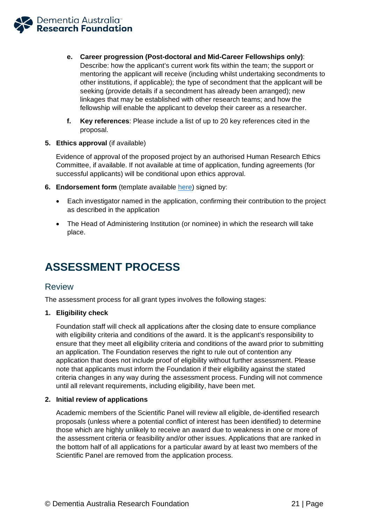

- **e. Career progression (Post-doctoral and Mid-Career Fellowships only)**: Describe: how the applicant's current work fits within the team; the support or mentoring the applicant will receive (including whilst undertaking secondments to other institutions, if applicable); the type of secondment that the applicant will be seeking (provide details if a secondment has already been arranged); new linkages that may be established with other research teams; and how the fellowship will enable the applicant to develop their career as a researcher.
- **f. Key references**: Please include a list of up to 20 key references cited in the proposal.
- **5. Ethics approval** (if available)

Evidence of approval of the proposed project by an authorised Human Research Ethics Committee, if available. If not available at time of application, funding agreements (for successful applicants) will be conditional upon ethics approval.

- **6. Endorsement form** (template available [here\)](https://www.dementia.org.au/research/grants/information-for-applicants) signed by:
	- Each investigator named in the application, confirming their contribution to the project as described in the application
	- The Head of Administering Institution (or nominee) in which the research will take place.

# <span id="page-21-0"></span>**ASSESSMENT PROCESS**

### <span id="page-21-1"></span>Review

The assessment process for all grant types involves the following stages:

#### **1. Eligibility check**

Foundation staff will check all applications after the closing date to ensure compliance with eligibility criteria and conditions of the award. It is the applicant's responsibility to ensure that they meet all eligibility criteria and conditions of the award prior to submitting an application. The Foundation reserves the right to rule out of contention any application that does not include proof of eligibility without further assessment. Please note that applicants must inform the Foundation if their eligibility against the stated criteria changes in any way during the assessment process. Funding will not commence until all relevant requirements, including eligibility, have been met.

#### **2. Initial review of applications**

Academic members of the Scientific Panel will review all eligible, de-identified research proposals (unless where a potential conflict of interest has been identified) to determine those which are highly unlikely to receive an award due to weakness in one or more of the assessment criteria or feasibility and/or other issues. Applications that are ranked in the bottom half of all applications for a particular award by at least two members of the Scientific Panel are removed from the application process.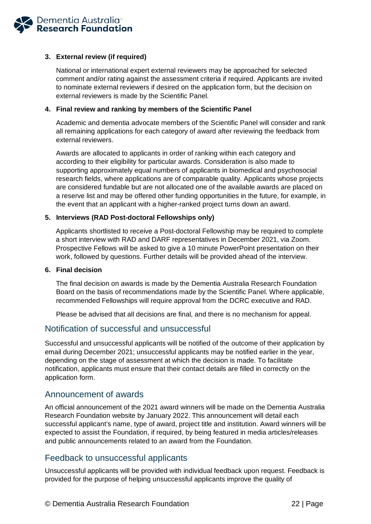

### **3. External review (if required)**

National or international expert external reviewers may be approached for selected comment and/or rating against the assessment criteria if required. Applicants are invited to nominate external reviewers if desired on the application form, but the decision on external reviewers is made by the Scientific Panel.

### **4. Final review and ranking by members of the Scientific Panel**

Academic and dementia advocate members of the Scientific Panel will consider and rank all remaining applications for each category of award after reviewing the feedback from external reviewers.

Awards are allocated to applicants in order of ranking within each category and according to their eligibility for particular awards. Consideration is also made to supporting approximately equal numbers of applicants in biomedical and psychosocial research fields, where applications are of comparable quality. Applicants whose projects are considered fundable but are not allocated one of the available awards are placed on a reserve list and may be offered other funding opportunities in the future, for example, in the event that an applicant with a higher-ranked project turns down an award.

### **5. Interviews (RAD Post-doctoral Fellowships only)**

Applicants shortlisted to receive a Post-doctoral Fellowship may be required to complete a short interview with RAD and DARF representatives in December 2021, via Zoom. Prospective Fellows will be asked to give a 10 minute PowerPoint presentation on their work, followed by questions. Further details will be provided ahead of the interview.

#### **6. Final decision**

The final decision on awards is made by the Dementia Australia Research Foundation Board on the basis of recommendations made by the Scientific Panel. Where applicable, recommended Fellowships will require approval from the DCRC executive and RAD.

Please be advised that all decisions are final, and there is no mechanism for appeal.

### <span id="page-22-0"></span>Notification of successful and unsuccessful

Successful and unsuccessful applicants will be notified of the outcome of their application by email during December 2021; unsuccessful applicants may be notified earlier in the year, depending on the stage of assessment at which the decision is made. To facilitate notification, applicants must ensure that their contact details are filled in correctly on the application form.

### <span id="page-22-1"></span>Announcement of awards

An official announcement of the 2021 award winners will be made on the Dementia Australia Research Foundation website by January 2022. This announcement will detail each successful applicant's name, type of award, project title and institution. Award winners will be expected to assist the Foundation, if required, by being featured in media articles/releases and public announcements related to an award from the Foundation.

### <span id="page-22-2"></span>Feedback to unsuccessful applicants

Unsuccessful applicants will be provided with individual feedback upon request. Feedback is provided for the purpose of helping unsuccessful applicants improve the quality of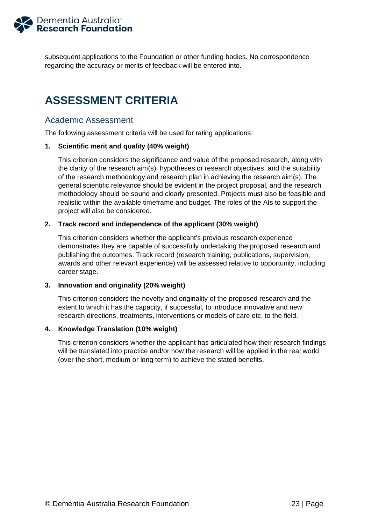

subsequent applications to the Foundation or other funding bodies. No correspondence regarding the accuracy or merits of feedback will be entered into.

# <span id="page-23-0"></span>**ASSESSMENT CRITERIA**

### <span id="page-23-1"></span>Academic Assessment

The following assessment criteria will be used for rating applications:

### **1. Scientific merit and quality (40% weight)**

This criterion considers the significance and value of the proposed research, along with the clarity of the research aim(s), hypotheses or research objectives, and the suitability of the research methodology and research plan in achieving the research aim(s). The general scientific relevance should be evident in the project proposal, and the research methodology should be sound and clearly presented. Projects must also be feasible and realistic within the available timeframe and budget. The roles of the AIs to support the project will also be considered.

### **2. Track record and independence of the applicant (30% weight)**

This criterion considers whether the applicant's previous research experience demonstrates they are capable of successfully undertaking the proposed research and publishing the outcomes. Track record (research training, publications, supervision, awards and other relevant experience) will be assessed relative to opportunity, including career stage.

#### **3. Innovation and originality (20% weight)**

This criterion considers the novelty and originality of the proposed research and the extent to which it has the capacity, if successful, to introduce innovative and new research directions, treatments, interventions or models of care etc. to the field.

### **4. Knowledge Translation (10% weight)**

This criterion considers whether the applicant has articulated how their research findings will be translated into practice and/or how the research will be applied in the real world (over the short, medium or long term) to achieve the stated benefits.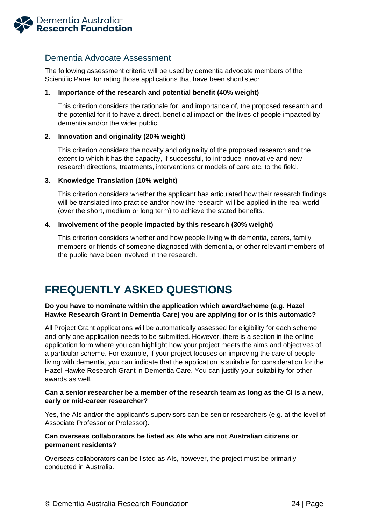<span id="page-24-2"></span>

### <span id="page-24-0"></span>Dementia Advocate Assessment

The following assessment criteria will be used by dementia advocate members of the Scientific Panel for rating those applications that have been shortlisted:

### **1. Importance of the research and potential benefit (40% weight)**

This criterion considers the rationale for, and importance of, the proposed research and the potential for it to have a direct, beneficial impact on the lives of people impacted by dementia and/or the wider public.

### **2. Innovation and originality (20% weight)**

This criterion considers the novelty and originality of the proposed research and the extent to which it has the capacity, if successful, to introduce innovative and new research directions, treatments, interventions or models of care etc. to the field.

### **3. Knowledge Translation (10% weight)**

This criterion considers whether the applicant has articulated how their research findings will be translated into practice and/or how the research will be applied in the real world (over the short, medium or long term) to achieve the stated benefits.

### **4. Involvement of the people impacted by this research (30% weight)**

This criterion considers whether and how people living with dementia, carers, family members or friends of someone diagnosed with dementia, or other relevant members of the public have been involved in the research.

# <span id="page-24-1"></span>**FREQUENTLY ASKED QUESTIONS**

### **Do you have to nominate within the application which award/scheme (e.g. Hazel Hawke Research Grant in Dementia Care) you are applying for or is this automatic?**

All Project Grant applications will be automatically assessed for eligibility for each scheme and only one application needs to be submitted. However, there is a section in the online application form where you can highlight how your project meets the aims and objectives of a particular scheme. For example, if your project focuses on improving the care of people living with dementia, you can indicate that the application is suitable for consideration for the Hazel Hawke Research Grant in Dementia Care. You can justify your suitability for other awards as well.

### **Can a senior researcher be a member of the research team as long as the CI is a new, early or mid-career researcher?**

Yes, the AIs and/or the applicant's supervisors can be senior researchers (e.g. at the level of Associate Professor or Professor).

### **Can overseas collaborators be listed as AIs who are not Australian citizens or permanent residents?**

Overseas collaborators can be listed as AIs, however, the project must be primarily conducted in Australia.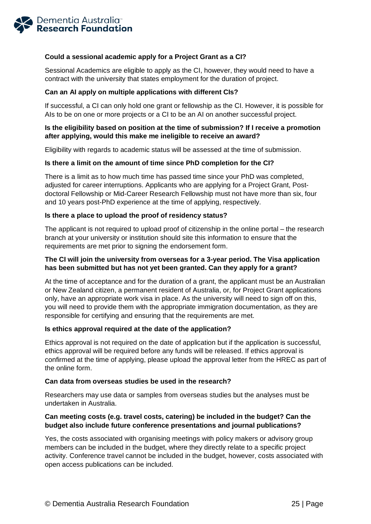

### **Could a sessional academic apply for a Project Grant as a CI?**

Sessional Academics are eligible to apply as the CI, however, they would need to have a contract with the university that states employment for the duration of project.

### **Can an AI apply on multiple applications with different CIs?**

If successful, a CI can only hold one grant or fellowship as the CI. However, it is possible for AIs to be on one or more projects or a CI to be an AI on another successful project.

### **Is the eligibility based on position at the time of submission? If I receive a promotion after applying, would this make me ineligible to receive an award?**

Eligibility with regards to academic status will be assessed at the time of submission.

### **Is there a limit on the amount of time since PhD completion for the CI?**

There is a limit as to how much time has passed time since your PhD was completed, adjusted for career interruptions. Applicants who are applying for a Project Grant, Postdoctoral Fellowship or Mid-Career Research Fellowship must not have more than six, four and 10 years post-PhD experience at the time of applying, respectively.

### **Is there a place to upload the proof of residency status?**

The applicant is not required to upload proof of citizenship in the online portal – the research branch at your university or institution should site this information to ensure that the requirements are met prior to signing the endorsement form.

### **The CI will join the university from overseas for a 3-year period. The Visa application has been submitted but has not yet been granted. Can they apply for a grant?**

At the time of acceptance and for the duration of a grant, the applicant must be an Australian or New Zealand citizen, a permanent resident of Australia, or, for Project Grant applications only, have an appropriate work visa in place. As the university will need to sign off on this, you will need to provide them with the appropriate immigration documentation, as they are responsible for certifying and ensuring that the requirements are met.

#### **Is ethics approval required at the date of the application?**

Ethics approval is not required on the date of application but if the application is successful, ethics approval will be required before any funds will be released. If ethics approval is confirmed at the time of applying, please upload the approval letter from the HREC as part of the online form.

#### **Can data from overseas studies be used in the research?**

Researchers may use data or samples from overseas studies but the analyses must be undertaken in Australia.

### **Can meeting costs (e.g. travel costs, catering) be included in the budget? Can the budget also include future conference presentations and journal publications?**

Yes, the costs associated with organising meetings with policy makers or advisory group members can be included in the budget, where they directly relate to a specific project activity. Conference travel cannot be included in the budget, however, costs associated with open access publications can be included.